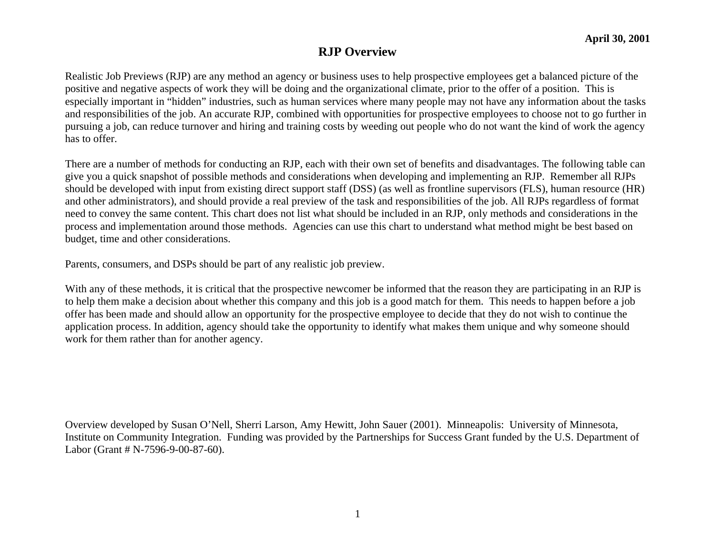#### **RJP Overview**

Realistic Job Previews (RJP) are any method an agency or business uses to help prospective employees get a balanced picture of the positive and negative aspects of work they will be doing and the organizational climate, prior to the offer of a position. This is especially important in "hidden" industries, such as human services where many people may not have any information about the tasks and responsibilities of the job. An accurate RJP, combined with opportunities for prospective employees to choose not to go further in pursuing a job, can reduce turnover and hiring and training costs by weeding out people who do not want the kind of work the agency has to offer.

There are a number of methods for conducting an RJP, each with their own set of benefits and disadvantages. The following table can give you a quick snapshot of possible methods and considerations when developing and implementing an RJP. Remember all RJPs should be developed with input from existing direct support staff (DSS) (as well as frontline supervisors (FLS), human resource (HR) and other administrators), and should provide a real preview of the task and responsibilities of the job. All RJPs regardless of format need to convey the same content. This chart does not list what should be included in an RJP, only methods and considerations in the process and implementation around those methods. Agencies can use this chart to understand what method might be best based on budget, time and other considerations.

Parents, consumers, and DSPs should be part of any realistic job preview.

With any of these methods, it is critical that the prospective newcomer be informed that the reason they are participating in an RJP is to help them make a decision about whether this company and this job is a good match for them. This needs to happen before a job offer has been made and should allow an opportunity for the prospective employee to decide that they do not wish to continue the application process. In addition, agency should take the opportunity to identify what makes them unique and why someone should work for them rather than for another agency.

Overview developed by Susan O'Nell, Sherri Larson, Amy Hewitt, John Sauer (2001). Minneapolis: University of Minnesota, Institute on Community Integration. Funding was provided by the Partnerships for Success Grant funded by the U.S. Department of Labor (Grant # N-7596-9-00-87-60).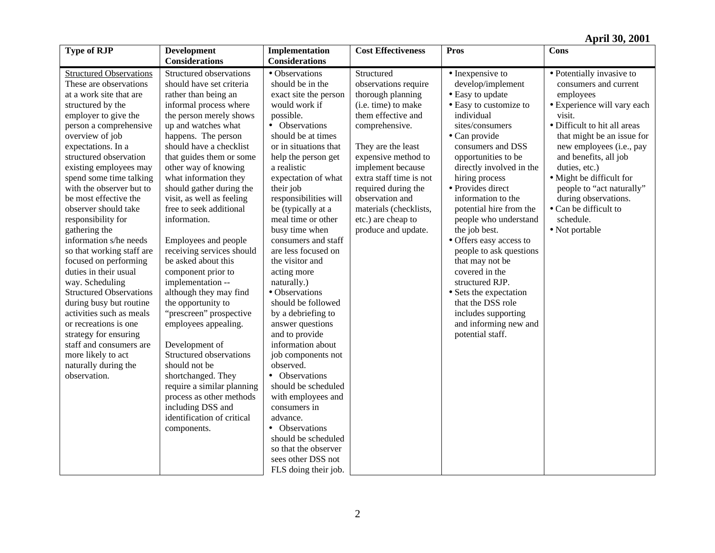| <b>Type of RJP</b>             | <b>Development</b>         | Implementation        | <b>Cost Effectiveness</b> | Pros                     | <b>Cons</b>                  |
|--------------------------------|----------------------------|-----------------------|---------------------------|--------------------------|------------------------------|
|                                | <b>Considerations</b>      | <b>Considerations</b> |                           |                          |                              |
| <b>Structured Observations</b> | Structured observations    | • Observations        | Structured                | • Inexpensive to         | • Potentially invasive to    |
| These are observations         | should have set criteria   | should be in the      | observations require      | develop/implement        | consumers and current        |
| at a work site that are        | rather than being an       | exact site the person | thorough planning         | • Easy to update         | employees                    |
| structured by the              | informal process where     | would work if         | (i.e. time) to make       | • Easy to customize to   | · Experience will vary each  |
| employer to give the           | the person merely shows    | possible.             | them effective and        | individual               | visit.                       |
| person a comprehensive         | up and watches what        | • Observations        | comprehensive.            | sites/consumers          | • Difficult to hit all areas |
| overview of job                | happens. The person        | should be at times    |                           | • Can provide            | that might be an issue for   |
| expectations. In a             | should have a checklist    | or in situations that | They are the least        | consumers and DSS        | new employees (i.e., pay     |
| structured observation         | that guides them or some   | help the person get   | expensive method to       | opportunities to be      | and benefits, all job        |
| existing employees may         | other way of knowing       | a realistic           | implement because         | directly involved in the | duties, etc.)                |
| spend some time talking        | what information they      | expectation of what   | extra staff time is not   | hiring process           | • Might be difficult for     |
| with the observer but to       | should gather during the   | their job             | required during the       | • Provides direct        | people to "act naturally"    |
| be most effective the          | visit, as well as feeling  | responsibilities will | observation and           | information to the       | during observations.         |
| observer should take           | free to seek additional    | be (typically at a    | materials (checklists,    | potential hire from the  | • Can be difficult to        |
| responsibility for             | information.               | meal time or other    | etc.) are cheap to        | people who understand    | schedule.                    |
| gathering the                  |                            | busy time when        | produce and update.       | the job best.            | • Not portable               |
| information s/he needs         | Employees and people       | consumers and staff   |                           | • Offers easy access to  |                              |
| so that working staff are      | receiving services should  | are less focused on   |                           | people to ask questions  |                              |
| focused on performing          | be asked about this        | the visitor and       |                           | that may not be          |                              |
| duties in their usual          | component prior to         | acting more           |                           | covered in the           |                              |
| way. Scheduling                | implementation --          | naturally.)           |                           | structured RJP.          |                              |
| <b>Structured Observations</b> | although they may find     | • Observations        |                           | • Sets the expectation   |                              |
| during busy but routine        | the opportunity to         | should be followed    |                           | that the DSS role        |                              |
| activities such as meals       | "prescreen" prospective    | by a debriefing to    |                           | includes supporting      |                              |
| or recreations is one          | employees appealing.       | answer questions      |                           | and informing new and    |                              |
| strategy for ensuring          |                            | and to provide        |                           | potential staff.         |                              |
| staff and consumers are        | Development of             | information about     |                           |                          |                              |
| more likely to act             | Structured observations    | job components not    |                           |                          |                              |
| naturally during the           | should not be              | observed.             |                           |                          |                              |
| observation.                   | shortchanged. They         | • Observations        |                           |                          |                              |
|                                | require a similar planning | should be scheduled   |                           |                          |                              |
|                                | process as other methods   | with employees and    |                           |                          |                              |
|                                | including DSS and          | consumers in          |                           |                          |                              |
|                                | identification of critical | advance.              |                           |                          |                              |
|                                | components.                | • Observations        |                           |                          |                              |
|                                |                            | should be scheduled   |                           |                          |                              |
|                                |                            | so that the observer  |                           |                          |                              |
|                                |                            | sees other DSS not    |                           |                          |                              |
|                                |                            | FLS doing their job.  |                           |                          |                              |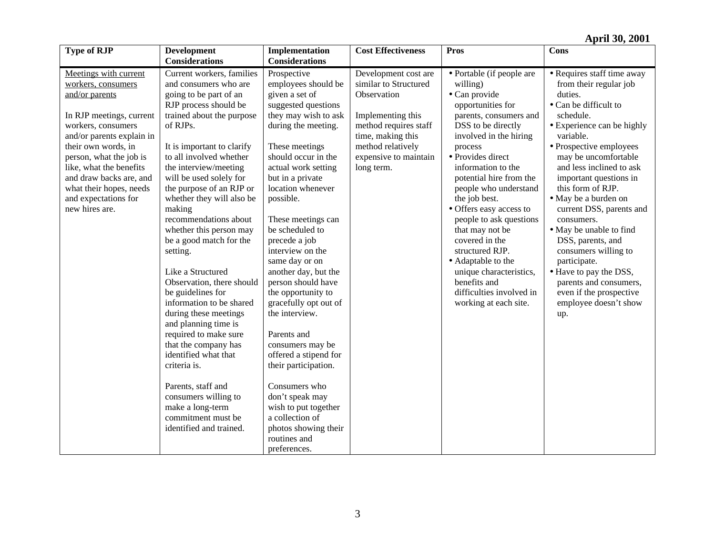| <b>Considerations</b><br><b>Considerations</b><br>Current workers, families<br>Meetings with current<br>Prospective<br>Development cost are<br>• Portable (if people are<br>• Requires staff time away<br>employees should be<br>similar to Structured<br>workers, consumers<br>and consumers who are<br>willing)<br>from their regular job                                                                                                                                                                                                                                                                                                                                                                                                                                                                                                                                                                                                                                                                                                                                                                                                                                                                                                                                                                                                                                                                                                                                                                                                                                                                                                                                                                                                                                                                                                                                                                                                                                                                                                                                                                                                                                                                                                                                                                                                                                                                                                                                                                                                                                                                                                                                                                                                                                                               |  |
|-----------------------------------------------------------------------------------------------------------------------------------------------------------------------------------------------------------------------------------------------------------------------------------------------------------------------------------------------------------------------------------------------------------------------------------------------------------------------------------------------------------------------------------------------------------------------------------------------------------------------------------------------------------------------------------------------------------------------------------------------------------------------------------------------------------------------------------------------------------------------------------------------------------------------------------------------------------------------------------------------------------------------------------------------------------------------------------------------------------------------------------------------------------------------------------------------------------------------------------------------------------------------------------------------------------------------------------------------------------------------------------------------------------------------------------------------------------------------------------------------------------------------------------------------------------------------------------------------------------------------------------------------------------------------------------------------------------------------------------------------------------------------------------------------------------------------------------------------------------------------------------------------------------------------------------------------------------------------------------------------------------------------------------------------------------------------------------------------------------------------------------------------------------------------------------------------------------------------------------------------------------------------------------------------------------------------------------------------------------------------------------------------------------------------------------------------------------------------------------------------------------------------------------------------------------------------------------------------------------------------------------------------------------------------------------------------------------------------------------------------------------------------------------------------------------|--|
| given a set of<br>Observation<br>• Can provide<br>and/or parents<br>going to be part of an<br>duties.<br>• Can be difficult to<br>RJP process should be<br>suggested questions<br>opportunities for<br>trained about the purpose<br>they may wish to ask<br>Implementing this<br>In RJP meetings, current<br>parents, consumers and<br>schedule.<br>of RJPs.<br>method requires staff<br>DSS to be directly<br>workers, consumers<br>during the meeting.<br>• Experience can be highly<br>time, making this<br>and/or parents explain in<br>involved in the hiring<br>variable.<br>• Prospective employees<br>their own words, in<br>It is important to clarify<br>These meetings<br>method relatively<br>process<br>should occur in the<br>· Provides direct<br>to all involved whether<br>expensive to maintain<br>may be uncomfortable<br>person, what the job is<br>the interview/meeting<br>actual work setting<br>and less inclined to ask<br>like, what the benefits<br>information to the<br>long term.<br>will be used solely for<br>but in a private<br>important questions in<br>and draw backs are, and<br>potential hire from the<br>location whenever<br>the purpose of an RJP or<br>this form of RJP.<br>what their hopes, needs<br>people who understand<br>and expectations for<br>whether they will also be<br>possible.<br>the job best.<br>• May be a burden on<br>new hires are.<br>• Offers easy access to<br>current DSS, parents and<br>making<br>recommendations about<br>people to ask questions<br>These meetings can<br>consumers.<br>whether this person may<br>be scheduled to<br>• May be unable to find<br>that may not be<br>be a good match for the<br>precede a job<br>covered in the<br>DSS, parents, and<br>interview on the<br>structured RJP.<br>consumers willing to<br>setting.<br>• Adaptable to the<br>same day or on<br>participate.<br>Like a Structured<br>• Have to pay the DSS,<br>another day, but the<br>unique characteristics,<br>Observation, there should<br>person should have<br>benefits and<br>parents and consumers,<br>be guidelines for<br>the opportunity to<br>difficulties involved in<br>even if the prospective<br>information to be shared<br>gracefully opt out of<br>working at each site.<br>employee doesn't show<br>the interview.<br>during these meetings<br>up.<br>and planning time is<br>required to make sure<br>Parents and<br>that the company has<br>consumers may be<br>identified what that<br>offered a stipend for<br>criteria is.<br>their participation.<br>Parents, staff and<br>Consumers who<br>consumers willing to<br>don't speak may<br>make a long-term<br>wish to put together<br>commitment must be<br>a collection of<br>photos showing their<br>identified and trained.<br>routines and<br>preferences. |  |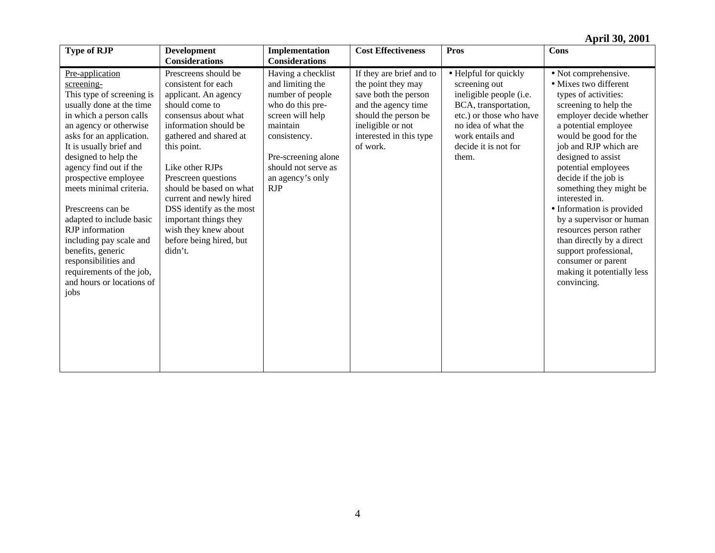| <b>Type of RJP</b>                                                                                                                                                                                                                                                                                                                                                                                                                                                                                                          | <b>Development</b><br><b>Considerations</b>                                                                                                                                                                                                                                                                                                                                                        | Implementation<br><b>Considerations</b>                                                                                                                                                                        | <b>Cost Effectiveness</b>                                                                                                                                                         | <b>Pros</b>                                                                                                                                                                                      | <b>Cons</b>                                                                                                                                                                                                                                                                                                                                                                                                                                                                                                                        |
|-----------------------------------------------------------------------------------------------------------------------------------------------------------------------------------------------------------------------------------------------------------------------------------------------------------------------------------------------------------------------------------------------------------------------------------------------------------------------------------------------------------------------------|----------------------------------------------------------------------------------------------------------------------------------------------------------------------------------------------------------------------------------------------------------------------------------------------------------------------------------------------------------------------------------------------------|----------------------------------------------------------------------------------------------------------------------------------------------------------------------------------------------------------------|-----------------------------------------------------------------------------------------------------------------------------------------------------------------------------------|--------------------------------------------------------------------------------------------------------------------------------------------------------------------------------------------------|------------------------------------------------------------------------------------------------------------------------------------------------------------------------------------------------------------------------------------------------------------------------------------------------------------------------------------------------------------------------------------------------------------------------------------------------------------------------------------------------------------------------------------|
| Pre-application<br>screening-<br>This type of screening is<br>usually done at the time<br>in which a person calls<br>an agency or otherwise<br>asks for an application.<br>It is usually brief and<br>designed to help the<br>agency find out if the<br>prospective employee<br>meets minimal criteria.<br>Prescreens can be<br>adapted to include basic<br><b>RJP</b> information<br>including pay scale and<br>benefits, generic<br>responsibilities and<br>requirements of the job,<br>and hours or locations of<br>jobs | Prescreens should be<br>consistent for each<br>applicant. An agency<br>should come to<br>consensus about what<br>information should be<br>gathered and shared at<br>this point.<br>Like other RJPs<br>Prescreen questions<br>should be based on what<br>current and newly hired<br>DSS identify as the most<br>important things they<br>wish they knew about<br>before being hired, but<br>didn't. | Having a checklist<br>and limiting the<br>number of people<br>who do this pre-<br>screen will help<br>maintain<br>consistency.<br>Pre-screening alone<br>should not serve as<br>an agency's only<br><b>RJP</b> | If they are brief and to<br>the point they may<br>save both the person<br>and the agency time<br>should the person be<br>ineligible or not<br>interested in this type<br>of work. | • Helpful for quickly<br>screening out<br>ineligible people (i.e.<br>BCA, transportation,<br>etc.) or those who have<br>no idea of what the<br>work entails and<br>decide it is not for<br>them. | • Not comprehensive.<br>· Mixes two different<br>types of activities:<br>screening to help the<br>employer decide whether<br>a potential employee<br>would be good for the<br>job and RJP which are<br>designed to assist<br>potential employees<br>decide if the job is<br>something they might be<br>interested in.<br>• Information is provided<br>by a supervisor or human<br>resources person rather<br>than directly by a direct<br>support professional,<br>consumer or parent<br>making it potentially less<br>convincing. |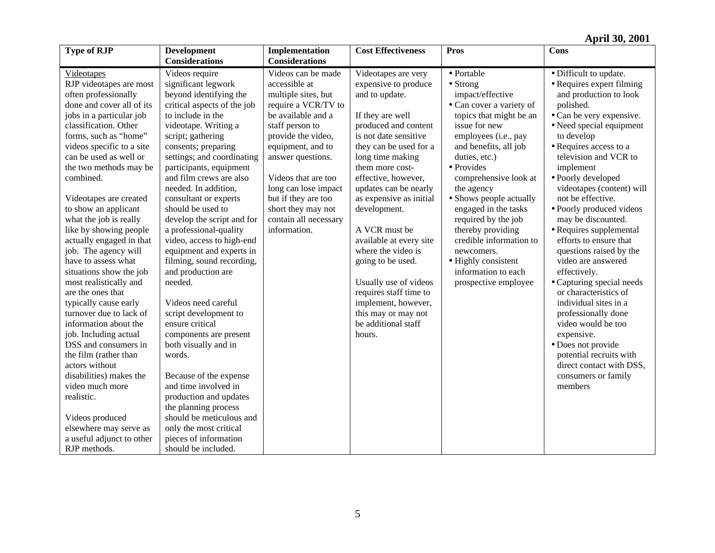| <b>Type of RJP</b>                                                                                                                                                                                                                                                                                          | <b>Development</b>                                                                                                                                                                                                                                                       | Implementation                                                                                                                                           | <b>Cost Effectiveness</b>                                                                                                                                                                                             | Pros                                                                                                                                                                   | <b>Cons</b>                                                                                                                                                                                                                                                                        |
|-------------------------------------------------------------------------------------------------------------------------------------------------------------------------------------------------------------------------------------------------------------------------------------------------------------|--------------------------------------------------------------------------------------------------------------------------------------------------------------------------------------------------------------------------------------------------------------------------|----------------------------------------------------------------------------------------------------------------------------------------------------------|-----------------------------------------------------------------------------------------------------------------------------------------------------------------------------------------------------------------------|------------------------------------------------------------------------------------------------------------------------------------------------------------------------|------------------------------------------------------------------------------------------------------------------------------------------------------------------------------------------------------------------------------------------------------------------------------------|
|                                                                                                                                                                                                                                                                                                             | <b>Considerations</b>                                                                                                                                                                                                                                                    | <b>Considerations</b>                                                                                                                                    |                                                                                                                                                                                                                       |                                                                                                                                                                        |                                                                                                                                                                                                                                                                                    |
| Videotapes<br>RJP videotapes are most<br>often professionally<br>done and cover all of its<br>jobs in a particular job<br>classification. Other                                                                                                                                                             | Videos require<br>significant legwork<br>beyond identifying the<br>critical aspects of the job<br>to include in the<br>videotape. Writing a                                                                                                                              | Videos can be made<br>accessible at<br>multiple sites, but<br>require a VCR/TV to<br>be available and a<br>staff person to                               | Videotapes are very<br>expensive to produce<br>and to update.<br>If they are well<br>produced and content                                                                                                             | • Portable<br>• Strong<br>impact/effective<br>• Can cover a variety of<br>topics that might be an<br>issue for new                                                     | • Difficult to update.<br>• Requires expert filming<br>and production to look<br>polished.<br>• Can be very expensive.<br>• Need special equipment                                                                                                                                 |
| forms, such as "home"<br>videos specific to a site<br>can be used as well or<br>the two methods may be<br>combined.<br>Videotapes are created<br>to show an applicant                                                                                                                                       | script; gathering<br>consents; preparing<br>settings; and coordinating<br>participants, equipment<br>and film crews are also<br>needed. In addition,<br>consultant or experts<br>should be used to                                                                       | provide the video,<br>equipment, and to<br>answer questions.<br>Videos that are too<br>long can lose impact<br>but if they are too<br>short they may not | is not date sensitive<br>they can be used for a<br>long time making<br>them more cost-<br>effective, however,<br>updates can be nearly<br>as expensive as initial<br>development.                                     | employees (i.e., pay<br>and benefits, all job<br>duties, etc.)<br>• Provides<br>comprehensive look at<br>the agency<br>• Shows people actually<br>engaged in the tasks | to develop<br>• Requires access to a<br>television and VCR to<br>implement<br>• Poorly developed<br>videotapes (content) will<br>not be effective.<br>• Poorly produced videos                                                                                                     |
| what the job is really<br>like by showing people<br>actually engaged in that<br>job. The agency will<br>have to assess what<br>situations show the job<br>most realistically and<br>are the ones that<br>typically cause early<br>turnover due to lack of<br>information about the<br>job. Including actual | develop the script and for<br>a professional-quality<br>video, access to high-end<br>equipment and experts in<br>filming, sound recording,<br>and production are<br>needed.<br>Videos need careful<br>script development to<br>ensure critical<br>components are present | contain all necessary<br>information.                                                                                                                    | A VCR must be<br>available at every site<br>where the video is<br>going to be used.<br>Usually use of videos<br>requires staff time to<br>implement, however,<br>this may or may not<br>be additional staff<br>hours. | required by the job<br>thereby providing<br>credible information to<br>newcomers.<br>• Highly consistent<br>information to each<br>prospective employee                | may be discounted.<br>• Requires supplemental<br>efforts to ensure that<br>questions raised by the<br>video are answered<br>effectively.<br>• Capturing special needs<br>or characteristics of<br>individual sites in a<br>professionally done<br>video would be too<br>expensive. |
| DSS and consumers in<br>the film (rather than<br>actors without<br>disabilities) makes the<br>video much more<br>realistic.<br>Videos produced<br>elsewhere may serve as<br>a useful adjunct to other<br>RJP methods.                                                                                       | both visually and in<br>words.<br>Because of the expense<br>and time involved in<br>production and updates<br>the planning process<br>should be meticulous and<br>only the most critical<br>pieces of information<br>should be included.                                 |                                                                                                                                                          |                                                                                                                                                                                                                       |                                                                                                                                                                        | • Does not provide<br>potential recruits with<br>direct contact with DSS,<br>consumers or family<br>members                                                                                                                                                                        |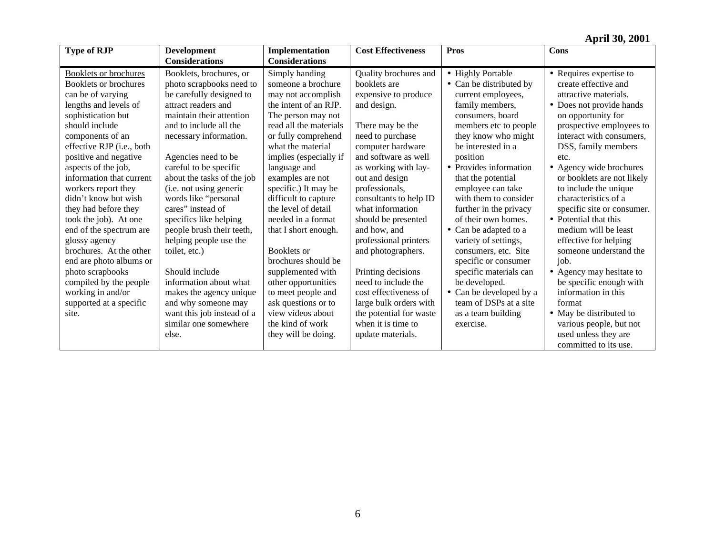| <b>Type of RJP</b>                 | <b>Development</b>         | Implementation         | <b>Cost Effectiveness</b> | Pros                    | Cons                       |
|------------------------------------|----------------------------|------------------------|---------------------------|-------------------------|----------------------------|
|                                    | <b>Considerations</b>      | <b>Considerations</b>  |                           |                         |                            |
| Booklets or brochures              | Booklets, brochures, or    | Simply handing         | Quality brochures and     | • Highly Portable       | • Requires expertise to    |
| Booklets or brochures              | photo scrapbooks need to   | someone a brochure     | booklets are              | • Can be distributed by | create effective and       |
| can be of varying                  | be carefully designed to   | may not accomplish     | expensive to produce      | current employees,      | attractive materials.      |
| lengths and levels of              | attract readers and        | the intent of an RJP.  | and design.               | family members,         | • Does not provide hands   |
| sophistication but                 | maintain their attention   | The person may not     |                           | consumers, board        | on opportunity for         |
| should include                     | and to include all the     | read all the materials | There may be the          | members etc to people   | prospective employees to   |
| components of an                   | necessary information.     | or fully comprehend    | need to purchase          | they know who might     | interact with consumers,   |
| effective RJP ( <i>i.e.</i> , both |                            | what the material      | computer hardware         | be interested in a      | DSS, family members        |
| positive and negative              | Agencies need to be        | implies (especially if | and software as well      | position                | etc.                       |
| aspects of the job,                | careful to be specific     | language and           | as working with lay-      | • Provides information  | Agency wide brochures      |
| information that current           | about the tasks of the job | examples are not       | out and design            | that the potential      | or booklets are not likely |
| workers report they                | (i.e. not using generic    | specific.) It may be   | professionals,            | employee can take       | to include the unique      |
| didn't know but wish               | words like "personal       | difficult to capture   | consultants to help ID    | with them to consider   | characteristics of a       |
| they had before they               | cares" instead of          | the level of detail    | what information          | further in the privacy  | specific site or consumer. |
| took the job). At one              | specifics like helping     | needed in a format     | should be presented       | of their own homes.     | • Potential that this      |
| end of the spectrum are            | people brush their teeth,  | that I short enough.   | and how, and              | • Can be adapted to a   | medium will be least       |
| glossy agency                      | helping people use the     |                        | professional printers     | variety of settings,    | effective for helping      |
| brochures. At the other            | toilet, etc.)              | <b>Booklets or</b>     | and photographers.        | consumers, etc. Site    | someone understand the     |
| end are photo albums or            |                            | brochures should be    |                           | specific or consumer    | job.                       |
| photo scrapbooks                   | Should include             | supplemented with      | Printing decisions        | specific materials can  | • Agency may hesitate to   |
| compiled by the people             | information about what     | other opportunities    | need to include the       | be developed.           | be specific enough with    |
| working in and/or                  | makes the agency unique    | to meet people and     | cost effectiveness of     | • Can be developed by a | information in this        |
| supported at a specific            | and why someone may        | ask questions or to    | large bulk orders with    | team of DSPs at a site  | format                     |
| site.                              | want this job instead of a | view videos about      | the potential for waste   | as a team building      | • May be distributed to    |
|                                    | similar one somewhere      | the kind of work       | when it is time to        | exercise.               | various people, but not    |
|                                    | else.                      | they will be doing.    | update materials.         |                         | used unless they are       |
|                                    |                            |                        |                           |                         | committed to its use.      |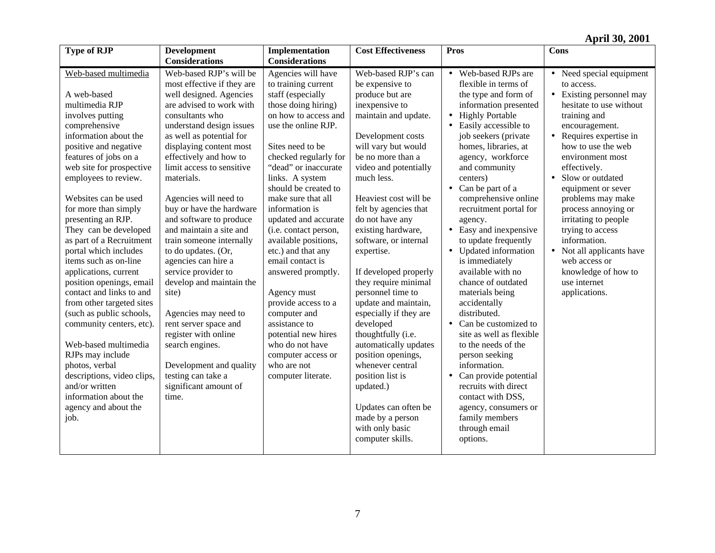| <b>Type of RJP</b>                                                                                                                                                                                                                                                                                                                                                                                                                                                                                                                                                                                                                                                                                                                                  | <b>Development</b>                                                                                                                                                                                                                                                                                                                                                                                                                                                                                                                                                                                                                                                                                                                               | Implementation                                                                                                                                                                                                                                                                                                                                                                                                                                                                                                                                                                                                                             | <b>Cost Effectiveness</b>                                                                                                                                                                                                                                                                                                                                                                                                                                                                                                                                                                                                                                                                       | <b>Pros</b>                                                                                                                                                                                                                                                                                                                                                                                                                                                                                                                                                                                                                                                                                                                                                                                                                                                                    | Cons                                                                                                                                                                                                                                                                                                                                                                                                                                                                           |
|-----------------------------------------------------------------------------------------------------------------------------------------------------------------------------------------------------------------------------------------------------------------------------------------------------------------------------------------------------------------------------------------------------------------------------------------------------------------------------------------------------------------------------------------------------------------------------------------------------------------------------------------------------------------------------------------------------------------------------------------------------|--------------------------------------------------------------------------------------------------------------------------------------------------------------------------------------------------------------------------------------------------------------------------------------------------------------------------------------------------------------------------------------------------------------------------------------------------------------------------------------------------------------------------------------------------------------------------------------------------------------------------------------------------------------------------------------------------------------------------------------------------|--------------------------------------------------------------------------------------------------------------------------------------------------------------------------------------------------------------------------------------------------------------------------------------------------------------------------------------------------------------------------------------------------------------------------------------------------------------------------------------------------------------------------------------------------------------------------------------------------------------------------------------------|-------------------------------------------------------------------------------------------------------------------------------------------------------------------------------------------------------------------------------------------------------------------------------------------------------------------------------------------------------------------------------------------------------------------------------------------------------------------------------------------------------------------------------------------------------------------------------------------------------------------------------------------------------------------------------------------------|--------------------------------------------------------------------------------------------------------------------------------------------------------------------------------------------------------------------------------------------------------------------------------------------------------------------------------------------------------------------------------------------------------------------------------------------------------------------------------------------------------------------------------------------------------------------------------------------------------------------------------------------------------------------------------------------------------------------------------------------------------------------------------------------------------------------------------------------------------------------------------|--------------------------------------------------------------------------------------------------------------------------------------------------------------------------------------------------------------------------------------------------------------------------------------------------------------------------------------------------------------------------------------------------------------------------------------------------------------------------------|
| Web-based multimedia<br>A web-based<br>multimedia RJP<br>involves putting<br>comprehensive<br>information about the<br>positive and negative<br>features of jobs on a<br>web site for prospective<br>employees to review.<br>Websites can be used<br>for more than simply<br>presenting an RJP.<br>They can be developed<br>as part of a Recruitment<br>portal which includes<br>items such as on-line<br>applications, current<br>position openings, email<br>contact and links to and<br>from other targeted sites<br>(such as public schools,<br>community centers, etc).<br>Web-based multimedia<br>RJPs may include<br>photos, verbal<br>descriptions, video clips,<br>and/or written<br>information about the<br>agency and about the<br>job. | <b>Considerations</b><br>Web-based RJP's will be<br>most effective if they are<br>well designed. Agencies<br>are advised to work with<br>consultants who<br>understand design issues<br>as well as potential for<br>displaying content most<br>effectively and how to<br>limit access to sensitive<br>materials.<br>Agencies will need to<br>buy or have the hardware<br>and software to produce<br>and maintain a site and<br>train someone internally<br>to do updates. (Or,<br>agencies can hire a<br>service provider to<br>develop and maintain the<br>site)<br>Agencies may need to<br>rent server space and<br>register with online<br>search engines.<br>Development and quality<br>testing can take a<br>significant amount of<br>time. | <b>Considerations</b><br>Agencies will have<br>to training current<br>staff (especially<br>those doing hiring)<br>on how to access and<br>use the online RJP.<br>Sites need to be<br>checked regularly for<br>"dead" or inaccurate<br>links. A system<br>should be created to<br>make sure that all<br>information is<br>updated and accurate<br>(i.e. contact person,<br>available positions,<br>etc.) and that any<br>email contact is<br>answered promptly.<br>Agency must<br>provide access to a<br>computer and<br>assistance to<br>potential new hires<br>who do not have<br>computer access or<br>who are not<br>computer literate. | Web-based RJP's can<br>be expensive to<br>produce but are<br>inexpensive to<br>maintain and update.<br>Development costs<br>will vary but would<br>be no more than a<br>video and potentially<br>much less.<br>Heaviest cost will be<br>felt by agencies that<br>do not have any<br>existing hardware,<br>software, or internal<br>expertise.<br>If developed properly<br>they require minimal<br>personnel time to<br>update and maintain,<br>especially if they are<br>developed<br>thoughtfully (i.e.<br>automatically updates<br>position openings,<br>whenever central<br>position list is<br>updated.)<br>Updates can often be<br>made by a person<br>with only basic<br>computer skills. | • Web-based RJPs are<br>flexible in terms of<br>the type and form of<br>information presented<br><b>Highly Portable</b><br>$\bullet$<br>Easily accessible to<br>$\bullet$<br>job seekers (private<br>homes, libraries, at<br>agency, workforce<br>and community<br>centers)<br>Can be part of a<br>$\bullet$<br>comprehensive online<br>recruitment portal for<br>agency.<br>Easy and inexpensive<br>$\bullet$<br>to update frequently<br>Updated information<br>$\bullet$<br>is immediately<br>available with no<br>chance of outdated<br>materials being<br>accidentally<br>distributed.<br>Can be customized to<br>$\bullet$<br>site as well as flexible<br>to the needs of the<br>person seeking<br>information.<br>Can provide potential<br>$\bullet$<br>recruits with direct<br>contact with DSS,<br>agency, consumers or<br>family members<br>through email<br>options. | • Need special equipment<br>to access.<br>• Existing personnel may<br>hesitate to use without<br>training and<br>encouragement.<br>• Requires expertise in<br>how to use the web<br>environment most<br>effectively.<br>• Slow or outdated<br>equipment or sever<br>problems may make<br>process annoying or<br>irritating to people<br>trying to access<br>information.<br>• Not all applicants have<br>web access or<br>knowledge of how to<br>use internet<br>applications. |
|                                                                                                                                                                                                                                                                                                                                                                                                                                                                                                                                                                                                                                                                                                                                                     |                                                                                                                                                                                                                                                                                                                                                                                                                                                                                                                                                                                                                                                                                                                                                  |                                                                                                                                                                                                                                                                                                                                                                                                                                                                                                                                                                                                                                            |                                                                                                                                                                                                                                                                                                                                                                                                                                                                                                                                                                                                                                                                                                 |                                                                                                                                                                                                                                                                                                                                                                                                                                                                                                                                                                                                                                                                                                                                                                                                                                                                                |                                                                                                                                                                                                                                                                                                                                                                                                                                                                                |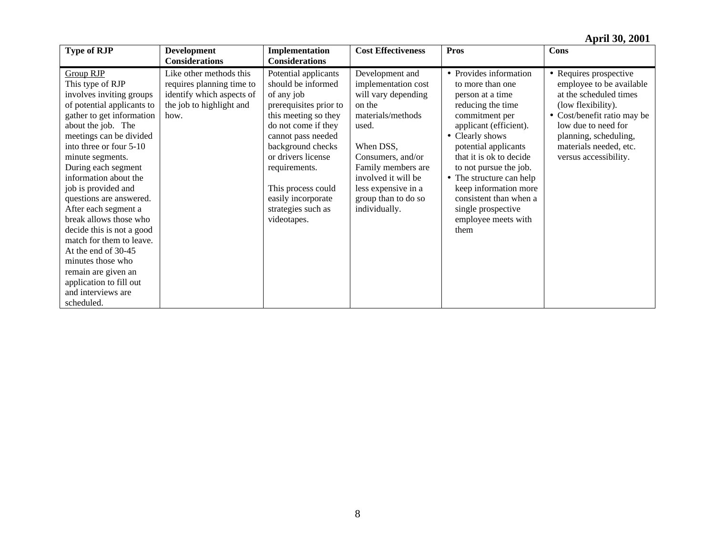|                                                                                                                                                                                                                                                                                                                                                                                                                                                                                                                                                                            |                                                                                                                       |                                                                                                                                                                                                                                                                                                      |                                                                                                                                                                                                                                                     |                                                                                                                                                                                                                                                                                                                                                                     | <b>April 30, 2001</b>                                                                                                                                                                                                                |
|----------------------------------------------------------------------------------------------------------------------------------------------------------------------------------------------------------------------------------------------------------------------------------------------------------------------------------------------------------------------------------------------------------------------------------------------------------------------------------------------------------------------------------------------------------------------------|-----------------------------------------------------------------------------------------------------------------------|------------------------------------------------------------------------------------------------------------------------------------------------------------------------------------------------------------------------------------------------------------------------------------------------------|-----------------------------------------------------------------------------------------------------------------------------------------------------------------------------------------------------------------------------------------------------|---------------------------------------------------------------------------------------------------------------------------------------------------------------------------------------------------------------------------------------------------------------------------------------------------------------------------------------------------------------------|--------------------------------------------------------------------------------------------------------------------------------------------------------------------------------------------------------------------------------------|
| <b>Type of RJP</b>                                                                                                                                                                                                                                                                                                                                                                                                                                                                                                                                                         | <b>Development</b>                                                                                                    | Implementation                                                                                                                                                                                                                                                                                       | <b>Cost Effectiveness</b>                                                                                                                                                                                                                           | <b>Pros</b>                                                                                                                                                                                                                                                                                                                                                         | <b>Cons</b>                                                                                                                                                                                                                          |
|                                                                                                                                                                                                                                                                                                                                                                                                                                                                                                                                                                            | <b>Considerations</b>                                                                                                 | <b>Considerations</b>                                                                                                                                                                                                                                                                                |                                                                                                                                                                                                                                                     |                                                                                                                                                                                                                                                                                                                                                                     |                                                                                                                                                                                                                                      |
| <b>Group RJP</b><br>This type of RJP<br>involves inviting groups<br>of potential applicants to<br>gather to get information<br>about the job. The<br>meetings can be divided<br>into three or four 5-10<br>minute segments.<br>During each segment<br>information about the<br>job is provided and<br>questions are answered.<br>After each segment a<br>break allows those who<br>decide this is not a good<br>match for them to leave.<br>At the end of 30-45<br>minutes those who<br>remain are given an<br>application to fill out<br>and interviews are<br>scheduled. | Like other methods this<br>requires planning time to<br>identify which aspects of<br>the job to highlight and<br>how. | Potential applicants<br>should be informed<br>of any job<br>prerequisites prior to<br>this meeting so they<br>do not come if they<br>cannot pass needed<br>background checks<br>or drivers license<br>requirements.<br>This process could<br>easily incorporate<br>strategies such as<br>videotapes. | Development and<br>implementation cost<br>will vary depending<br>on the<br>materials/methods<br>used.<br>When DSS,<br>Consumers, and/or<br>Family members are<br>involved it will be<br>less expensive in a<br>group than to do so<br>individually. | • Provides information<br>to more than one<br>person at a time<br>reducing the time<br>commitment per<br>applicant (efficient).<br>• Clearly shows<br>potential applicants<br>that it is ok to decide<br>to not pursue the job.<br>• The structure can help<br>keep information more<br>consistent than when a<br>single prospective<br>employee meets with<br>them | • Requires prospective<br>employee to be available<br>at the scheduled times<br>(low flexibility).<br>• Cost/benefit ratio may be<br>low due to need for<br>planning, scheduling,<br>materials needed, etc.<br>versus accessibility. |